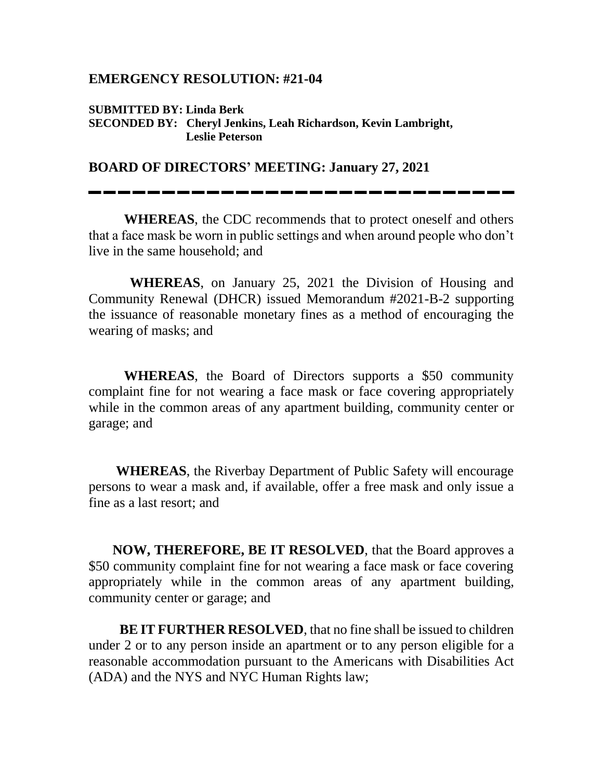## **EMERGENCY RESOLUTION: #21-04**

## **SUBMITTED BY: Linda Berk SECONDED BY: Cheryl Jenkins, Leah Richardson, Kevin Lambright, Leslie Peterson**

## **BOARD OF DIRECTORS' MEETING: January 27, 2021**

**WHEREAS**, the CDC recommends that to protect oneself and others that a face mask be worn in public settings and when around people who don't live in the same household; and

 **WHEREAS**, on January 25, 2021 the Division of Housing and Community Renewal (DHCR) issued Memorandum #2021-B-2 supporting the issuance of reasonable monetary fines as a method of encouraging the wearing of masks; and

**WHEREAS**, the Board of Directors supports a \$50 community complaint fine for not wearing a face mask or face covering appropriately while in the common areas of any apartment building, community center or garage; and

 **WHEREAS**, the Riverbay Department of Public Safety will encourage persons to wear a mask and, if available, offer a free mask and only issue a fine as a last resort; and

 **NOW, THEREFORE, BE IT RESOLVED**, that the Board approves a \$50 community complaint fine for not wearing a face mask or face covering appropriately while in the common areas of any apartment building, community center or garage; and

**BE IT FURTHER RESOLVED**, that no fine shall be issued to children under 2 or to any person inside an apartment or to any person eligible for a reasonable accommodation pursuant to the Americans with Disabilities Act (ADA) and the NYS and NYC Human Rights law;